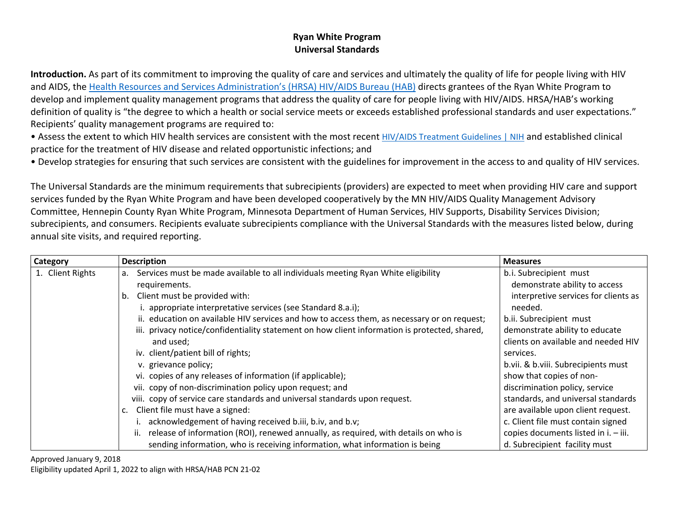## **Ryan White Program Universal Standards**

**Introduction.** As part of its commitment to improving the quality of care and services and ultimately the quality of life for people living with HIV and AIDS, the [Health Resources and Services Administration's \(HRSA\) HIV/AIDS Bureau \(HAB\)](https://hab.hrsa.gov/) directs grantees of the Ryan White Program to develop and implement quality management programs that address the quality of care for people living with HIV/AIDS. HRSA/HAB's working definition of quality is "the degree to which a health or social service meets or exceeds established professional standards and user expectations." Recipients' quality management programs are required to:

• Assess the extent to which HIV health services are consistent with the most recent [HIV/AIDS Treatment Guidelines | NIH](https://clinicalinfo.hiv.gov/en/guidelines) and established clinical practice for the treatment of HIV disease and related opportunistic infections; and

• Develop strategies for ensuring that such services are consistent with the guidelines for improvement in the access to and quality of HIV services.

The Universal Standards are the minimum requirements that subrecipients (providers) are expected to meet when providing HIV care and support services funded by the Ryan White Program and have been developed cooperatively by the MN HIV/AIDS Quality Management Advisory Committee, Hennepin County Ryan White Program, Minnesota Department of Human Services, HIV Supports, Disability Services Division; subrecipients, and consumers. Recipients evaluate subrecipients compliance with the Universal Standards with the measures listed below, during annual site visits, and required reporting.

| <b>Category</b>  | <b>Description</b>                                                                            | <b>Measures</b>                      |
|------------------|-----------------------------------------------------------------------------------------------|--------------------------------------|
| 1. Client Rights | Services must be made available to all individuals meeting Ryan White eligibility<br>a.       | b.i. Subrecipient must               |
|                  | requirements.                                                                                 | demonstrate ability to access        |
|                  | Client must be provided with:<br>b.                                                           | interpretive services for clients as |
|                  | i. appropriate interpretative services (see Standard 8.a.i);                                  | needed.                              |
|                  | ii. education on available HIV services and how to access them, as necessary or on request;   | b.ii. Subrecipient must              |
|                  | iii. privacy notice/confidentiality statement on how client information is protected, shared, | demonstrate ability to educate       |
|                  | and used;                                                                                     | clients on available and needed HIV  |
|                  | iv. client/patient bill of rights;                                                            | services.                            |
|                  | v. grievance policy;                                                                          | b.vii. & b.viii. Subrecipients must  |
|                  | vi. copies of any releases of information (if applicable);                                    | show that copies of non-             |
|                  | vii. copy of non-discrimination policy upon request; and                                      | discrimination policy, service       |
|                  | viii. copy of service care standards and universal standards upon request.                    | standards, and universal standards   |
|                  | Client file must have a signed:<br>c.                                                         | are available upon client request.   |
|                  | i. acknowledgement of having received b.iii, b.iv, and b.v;                                   | c. Client file must contain signed   |
|                  | release of information (ROI), renewed annually, as required, with details on who is<br>ii.    | copies documents listed in i. - iii. |
|                  | sending information, who is receiving information, what information is being                  | d. Subrecipient facility must        |

Approved January 9, 2018

Eligibility updated April 1, 2022 to align with HRSA/HAB PCN 21-02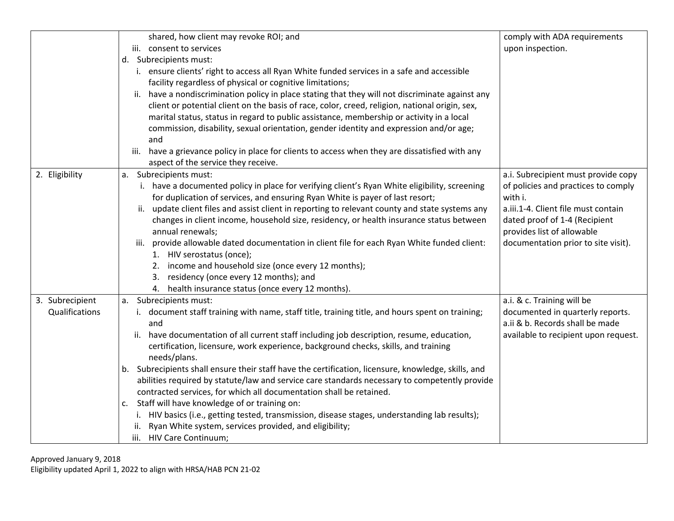|                 | shared, how client may revoke ROI; and                                                                                                                   | comply with ADA requirements         |
|-----------------|----------------------------------------------------------------------------------------------------------------------------------------------------------|--------------------------------------|
|                 | iii. consent to services                                                                                                                                 | upon inspection.                     |
|                 | d. Subrecipients must:                                                                                                                                   |                                      |
|                 | i. ensure clients' right to access all Ryan White funded services in a safe and accessible                                                               |                                      |
|                 | facility regardless of physical or cognitive limitations;                                                                                                |                                      |
|                 | have a nondiscrimination policy in place stating that they will not discriminate against any<br>ii.                                                      |                                      |
|                 | client or potential client on the basis of race, color, creed, religion, national origin, sex,                                                           |                                      |
|                 | marital status, status in regard to public assistance, membership or activity in a local                                                                 |                                      |
|                 | commission, disability, sexual orientation, gender identity and expression and/or age;                                                                   |                                      |
|                 | and                                                                                                                                                      |                                      |
|                 | have a grievance policy in place for clients to access when they are dissatisfied with any<br>iii.                                                       |                                      |
|                 | aspect of the service they receive.                                                                                                                      |                                      |
| 2. Eligibility  | a. Subrecipients must:                                                                                                                                   | a.i. Subrecipient must provide copy  |
|                 | i. have a documented policy in place for verifying client's Ryan White eligibility, screening                                                            | of policies and practices to comply  |
|                 | for duplication of services, and ensuring Ryan White is payer of last resort;                                                                            | with i.                              |
|                 | ii. update client files and assist client in reporting to relevant county and state systems any                                                          | a.iii.1-4. Client file must contain  |
|                 | changes in client income, household size, residency, or health insurance status between                                                                  | dated proof of 1-4 (Recipient        |
|                 | annual renewals;                                                                                                                                         | provides list of allowable           |
|                 | iii. provide allowable dated documentation in client file for each Ryan White funded client:                                                             | documentation prior to site visit).  |
|                 | 1. HIV serostatus (once);                                                                                                                                |                                      |
|                 | 2. income and household size (once every 12 months);                                                                                                     |                                      |
|                 | 3. residency (once every 12 months); and                                                                                                                 |                                      |
|                 | 4. health insurance status (once every 12 months).                                                                                                       |                                      |
| 3. Subrecipient | Subrecipients must:<br>a.                                                                                                                                | a.i. & c. Training will be           |
| Qualifications  | i. document staff training with name, staff title, training title, and hours spent on training;                                                          | documented in quarterly reports.     |
|                 | and                                                                                                                                                      | a.ii & b. Records shall be made      |
|                 | have documentation of all current staff including job description, resume, education,<br>ii.                                                             | available to recipient upon request. |
|                 | certification, licensure, work experience, background checks, skills, and training                                                                       |                                      |
|                 | needs/plans.                                                                                                                                             |                                      |
|                 | b. Subrecipients shall ensure their staff have the certification, licensure, knowledge, skills, and                                                      |                                      |
|                 | abilities required by statute/law and service care standards necessary to competently provide                                                            |                                      |
|                 | contracted services, for which all documentation shall be retained.<br>c. Staff will have knowledge of or training on:                                   |                                      |
|                 |                                                                                                                                                          |                                      |
|                 | i. HIV basics (i.e., getting tested, transmission, disease stages, understanding lab results);<br>Ryan White system, services provided, and eligibility; |                                      |
|                 | ii.<br>iii. HIV Care Continuum;                                                                                                                          |                                      |
|                 |                                                                                                                                                          |                                      |

Approved January 9, 2018

Eligibility updated April 1, 2022 to align with HRSA/HAB PCN 21-02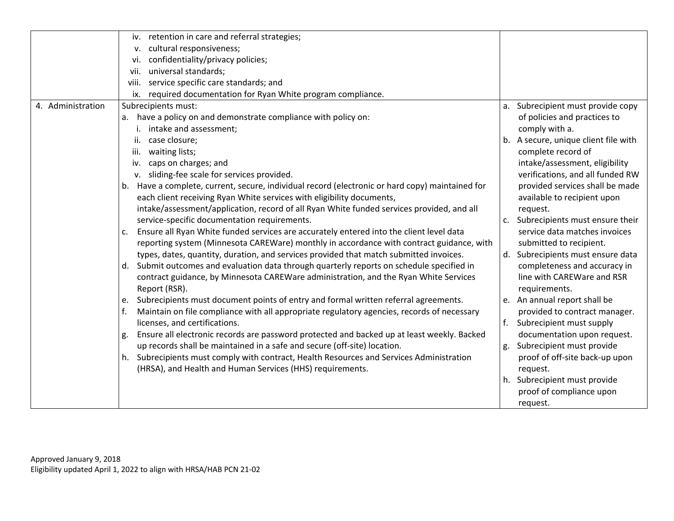|                   | iv. retention in care and referral strategies;                                                   |                                      |
|-------------------|--------------------------------------------------------------------------------------------------|--------------------------------------|
|                   | cultural responsiveness;<br>v.                                                                   |                                      |
|                   | confidentiality/privacy policies;<br>vi.                                                         |                                      |
|                   | universal standards;<br>vii.                                                                     |                                      |
|                   | service specific care standards; and<br>viii.                                                    |                                      |
|                   | required documentation for Ryan White program compliance.<br>ix.                                 |                                      |
| 4. Administration | Subrecipients must:                                                                              | a. Subrecipient must provide copy    |
|                   | have a policy on and demonstrate compliance with policy on:<br>a.                                | of policies and practices to         |
|                   | intake and assessment;                                                                           | comply with a.                       |
|                   | case closure;<br>ii.                                                                             | b. A secure, unique client file with |
|                   | waiting lists;<br>iii.                                                                           | complete record of                   |
|                   | caps on charges; and<br>iv.                                                                      | intake/assessment, eligibility       |
|                   | v. sliding-fee scale for services provided.                                                      | verifications, and all funded RW     |
|                   | b. Have a complete, current, secure, individual record (electronic or hard copy) maintained for  | provided services shall be made      |
|                   | each client receiving Ryan White services with eligibility documents,                            | available to recipient upon          |
|                   | intake/assessment/application, record of all Ryan White funded services provided, and all        | request.                             |
|                   | service-specific documentation requirements.                                                     | Subrecipients must ensure their      |
|                   | Ensure all Ryan White funded services are accurately entered into the client level data<br>c.    | service data matches invoices        |
|                   | reporting system (Minnesota CAREWare) monthly in accordance with contract guidance, with         | submitted to recipient.              |
|                   | types, dates, quantity, duration, and services provided that match submitted invoices.           | d. Subrecipients must ensure data    |
|                   | d. Submit outcomes and evaluation data through quarterly reports on schedule specified in        | completeness and accuracy in         |
|                   | contract guidance, by Minnesota CAREWare administration, and the Ryan White Services             | line with CAREWare and RSR           |
|                   | Report (RSR).                                                                                    | requirements.                        |
|                   | Subrecipients must document points of entry and formal written referral agreements.<br>e.        | e. An annual report shall be         |
|                   | Maintain on file compliance with all appropriate regulatory agencies, records of necessary       | provided to contract manager.        |
|                   | licenses, and certifications.                                                                    | f. Subrecipient must supply          |
|                   | Ensure all electronic records are password protected and backed up at least weekly. Backed<br>g. | documentation upon request.          |
|                   | up records shall be maintained in a safe and secure (off-site) location.                         | Subrecipient must provide<br>g.      |
|                   | h. Subrecipients must comply with contract, Health Resources and Services Administration         | proof of off-site back-up upon       |
|                   | (HRSA), and Health and Human Services (HHS) requirements.                                        | request.                             |
|                   |                                                                                                  | Subrecipient must provide<br>h.      |
|                   |                                                                                                  | proof of compliance upon             |
|                   |                                                                                                  | request.                             |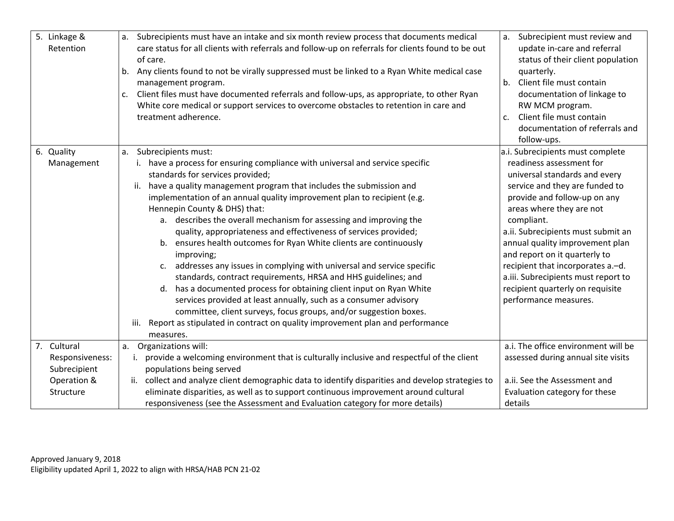| 5. Linkage &<br>Retention      | Subrecipients must have an intake and six month review process that documents medical<br>a.<br>care status for all clients with referrals and follow-up on referrals for clients found to be out<br>of care.<br>Any clients found to not be virally suppressed must be linked to a Ryan White medical case<br>b.<br>management program.<br>Client files must have documented referrals and follow-ups, as appropriate, to other Ryan<br>c.<br>White core medical or support services to overcome obstacles to retention in care and<br>treatment adherence.                                                                                                                                                                                                                                                                                                                                                                                                                                                                                 | Subrecipient must review and<br>a.<br>update in-care and referral<br>status of their client population<br>quarterly.<br>Client file must contain<br>b.<br>documentation of linkage to<br>RW MCM program.<br>Client file must contain<br>c.<br>documentation of referrals and<br>follow-ups.                                                                                                                                                                  |
|--------------------------------|---------------------------------------------------------------------------------------------------------------------------------------------------------------------------------------------------------------------------------------------------------------------------------------------------------------------------------------------------------------------------------------------------------------------------------------------------------------------------------------------------------------------------------------------------------------------------------------------------------------------------------------------------------------------------------------------------------------------------------------------------------------------------------------------------------------------------------------------------------------------------------------------------------------------------------------------------------------------------------------------------------------------------------------------|--------------------------------------------------------------------------------------------------------------------------------------------------------------------------------------------------------------------------------------------------------------------------------------------------------------------------------------------------------------------------------------------------------------------------------------------------------------|
| 6. Quality<br>Management       | Subrecipients must:<br>a.<br>have a process for ensuring compliance with universal and service specific<br>standards for services provided;<br>have a quality management program that includes the submission and<br>ii.<br>implementation of an annual quality improvement plan to recipient (e.g.<br>Hennepin County & DHS) that:<br>a. describes the overall mechanism for assessing and improving the<br>quality, appropriateness and effectiveness of services provided;<br>b. ensures health outcomes for Ryan White clients are continuously<br>improving;<br>addresses any issues in complying with universal and service specific<br>C.<br>standards, contract requirements, HRSA and HHS guidelines; and<br>has a documented process for obtaining client input on Ryan White<br>d.<br>services provided at least annually, such as a consumer advisory<br>committee, client surveys, focus groups, and/or suggestion boxes.<br>Report as stipulated in contract on quality improvement plan and performance<br>iii.<br>measures. | a.i. Subrecipients must complete<br>readiness assessment for<br>universal standards and every<br>service and they are funded to<br>provide and follow-up on any<br>areas where they are not<br>compliant.<br>a.ii. Subrecipients must submit an<br>annual quality improvement plan<br>and report on it quarterly to<br>recipient that incorporates a.-d.<br>a.iii. Subrecipients must report to<br>recipient quarterly on requisite<br>performance measures. |
| 7. Cultural<br>Responsiveness: | Organizations will:<br>a.<br>i. provide a welcoming environment that is culturally inclusive and respectful of the client                                                                                                                                                                                                                                                                                                                                                                                                                                                                                                                                                                                                                                                                                                                                                                                                                                                                                                                   | a.i. The office environment will be<br>assessed during annual site visits                                                                                                                                                                                                                                                                                                                                                                                    |
| Subrecipient                   | populations being served                                                                                                                                                                                                                                                                                                                                                                                                                                                                                                                                                                                                                                                                                                                                                                                                                                                                                                                                                                                                                    |                                                                                                                                                                                                                                                                                                                                                                                                                                                              |
| Operation &                    | collect and analyze client demographic data to identify disparities and develop strategies to<br>ii.                                                                                                                                                                                                                                                                                                                                                                                                                                                                                                                                                                                                                                                                                                                                                                                                                                                                                                                                        | a.ii. See the Assessment and                                                                                                                                                                                                                                                                                                                                                                                                                                 |
| Structure                      | eliminate disparities, as well as to support continuous improvement around cultural<br>responsiveness (see the Assessment and Evaluation category for more details)                                                                                                                                                                                                                                                                                                                                                                                                                                                                                                                                                                                                                                                                                                                                                                                                                                                                         | Evaluation category for these<br>details                                                                                                                                                                                                                                                                                                                                                                                                                     |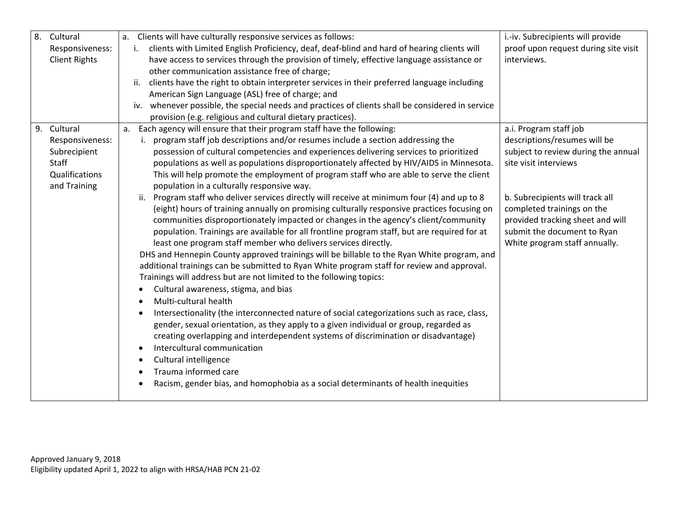| 8. | Cultural             | i.-iv. Subrecipients will provide<br>a. Clients will have culturally responsive services as follows:                                      |
|----|----------------------|-------------------------------------------------------------------------------------------------------------------------------------------|
|    | Responsiveness:      | clients with Limited English Proficiency, deaf, deaf-blind and hard of hearing clients will<br>proof upon request during site visit<br>i. |
|    | <b>Client Rights</b> | have access to services through the provision of timely, effective language assistance or<br>interviews.                                  |
|    |                      | other communication assistance free of charge;                                                                                            |
|    |                      | clients have the right to obtain interpreter services in their preferred language including<br>ii.                                        |
|    |                      | American Sign Language (ASL) free of charge; and                                                                                          |
|    |                      | whenever possible, the special needs and practices of clients shall be considered in service<br>iv.                                       |
|    |                      | provision (e.g. religious and cultural dietary practices).                                                                                |
|    | 9. Cultural          | a.i. Program staff job<br>a. Each agency will ensure that their program staff have the following:                                         |
|    | Responsiveness:      | program staff job descriptions and/or resumes include a section addressing the<br>descriptions/resumes will be                            |
|    | Subrecipient         | possession of cultural competencies and experiences delivering services to prioritized<br>subject to review during the annual             |
|    | Staff                | populations as well as populations disproportionately affected by HIV/AIDS in Minnesota.<br>site visit interviews                         |
|    | Qualifications       | This will help promote the employment of program staff who are able to serve the client                                                   |
|    | and Training         | population in a culturally responsive way.                                                                                                |
|    |                      | ii. Program staff who deliver services directly will receive at minimum four (4) and up to 8<br>b. Subrecipients will track all           |
|    |                      | (eight) hours of training annually on promising culturally responsive practices focusing on<br>completed trainings on the                 |
|    |                      | provided tracking sheet and will<br>communities disproportionately impacted or changes in the agency's client/community                   |
|    |                      | population. Trainings are available for all frontline program staff, but are required for at<br>submit the document to Ryan               |
|    |                      | least one program staff member who delivers services directly.<br>White program staff annually.                                           |
|    |                      | DHS and Hennepin County approved trainings will be billable to the Ryan White program, and                                                |
|    |                      | additional trainings can be submitted to Ryan White program staff for review and approval.                                                |
|    |                      | Trainings will address but are not limited to the following topics:                                                                       |
|    |                      | Cultural awareness, stigma, and bias<br>$\bullet$                                                                                         |
|    |                      | Multi-cultural health<br>$\bullet$                                                                                                        |
|    |                      | Intersectionality (the interconnected nature of social categorizations such as race, class,                                               |
|    |                      | gender, sexual orientation, as they apply to a given individual or group, regarded as                                                     |
|    |                      | creating overlapping and interdependent systems of discrimination or disadvantage)                                                        |
|    |                      | Intercultural communication<br>$\bullet$                                                                                                  |
|    |                      | Cultural intelligence<br>$\bullet$                                                                                                        |
|    |                      | Trauma informed care                                                                                                                      |
|    |                      | Racism, gender bias, and homophobia as a social determinants of health inequities                                                         |
|    |                      |                                                                                                                                           |